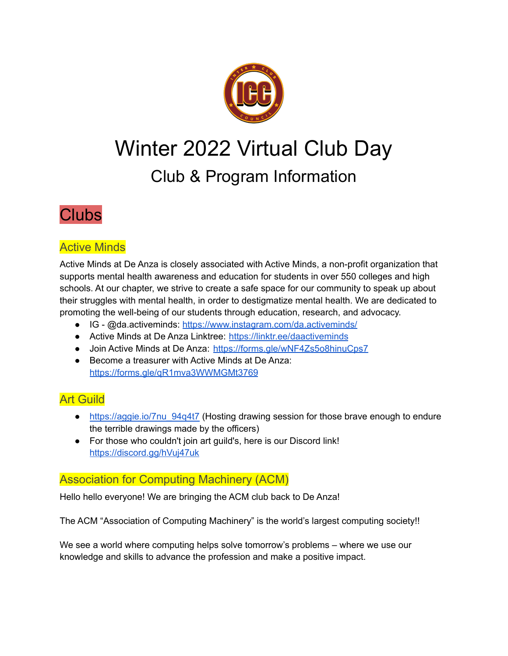

# Winter 2022 Virtual Club Day Club & Program Information

# **Clubs**

# Active Minds

Active Minds at De Anza is closely associated with Active Minds, a non-profit organization that supports mental health awareness and education for students in over 550 colleges and high schools. At our chapter, we strive to create a safe space for our community to speak up about their struggles with mental health, in order to destigmatize mental health. We are dedicated to promoting the well-being of our students through education, research, and advocacy.

- IG @da.activeminds: <https://www.instagram.com/da.activeminds/>
- Active Minds at De Anza Linktree: <https://linktr.ee/daactiveminds>
- Join Active Minds at De Anza: <https://forms.gle/wNF4Zs5o8hinuCps7>
- Become a treasurer with Active Minds at De Anza: <https://forms.gle/qR1mva3WWMGMt3769>

# Art Guild

- https://aggie.io/7nu 94q4t7 (Hosting drawing session for those brave enough to endure the terrible drawings made by the officers)
- For those who couldn't join art guild's, here is our Discord link! <https://discord.gg/hVuj47uk>

### Association for Computing Machinery (ACM)

Hello hello everyone! We are bringing the ACM club back to De Anza!

The ACM "Association of Computing Machinery" is the world's largest computing society!!

We see a world where computing helps solve tomorrow's problems – where we use our knowledge and skills to advance the profession and make a positive impact.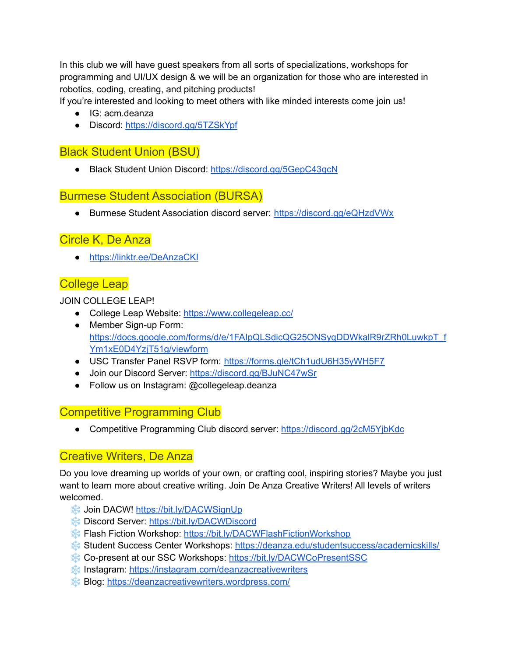In this club we will have guest speakers from all sorts of specializations, workshops for programming and UI/UX design & we will be an organization for those who are interested in robotics, coding, creating, and pitching products!

If you're interested and looking to meet others with like minded interests come join us!

- IG: acm.deanza
- Discord: <https://discord.gg/5TZSkYpf>

# Black Student Union (BSU)

● Black Student Union Discord: <https://discord.gg/5GepC43qcN>

#### Burmese Student Association (BURSA)

● Burmese Student Association discord server: <https://discord.gg/eQHzdVWx>

### Circle K, De Anza

● <https://linktr.ee/DeAnzaCKI>

# College Leap

JOIN COLLEGE LEAP!

- College Leap Website: <https://www.collegeleap.cc/>
- Member Sign-up Form: [https://docs.google.com/forms/d/e/1FAIpQLSdicQG25ONSyqDDWkalR9rZRh0LuwkpT\\_f](https://docs.google.com/forms/d/e/1FAIpQLSdicQG25ONSyqDDWkalR9rZRh0LuwkpT_fYm1xE0D4YzjT51g/viewform) [Ym1xE0D4YzjT51g/viewform](https://docs.google.com/forms/d/e/1FAIpQLSdicQG25ONSyqDDWkalR9rZRh0LuwkpT_fYm1xE0D4YzjT51g/viewform)
- USC Transfer Panel RSVP form: <https://forms.gle/tCh1udU6H35yWH5F7>
- Join our Discord Server: <https://discord.gg/BJuNC47wSr>
- Follow us on Instagram: @collegeleap.deanza

#### Competitive Programming Club

● Competitive Programming Club discord server: <https://discord.gg/2cM5YjbKdc>

#### Creative Writers, De Anza

Do you love dreaming up worlds of your own, or crafting cool, inspiring stories? Maybe you just want to learn more about creative writing. Join De Anza Creative Writers! All levels of writers welcomed.

- ❄️ Join DACW! <https://bit.ly/DACWSignUp>
- ❄️ Discord Server: <https://bit.ly/DACWDiscord>
- ❄️ Flash Fiction Workshop: <https://bit.ly/DACWFlashFictionWorkshop>
- ❄️ Student Success Center Workshops: <https://deanza.edu/studentsuccess/academicskills/>
- ❄️ Co-present at our SSC Workshops: <https://bit.ly/DACWCoPresentSSC>
- ❄️ Instagram: <https://instagram.com/deanzacreativewriters>
- ❄️ Blog: <https://deanzacreativewriters.wordpress.com/>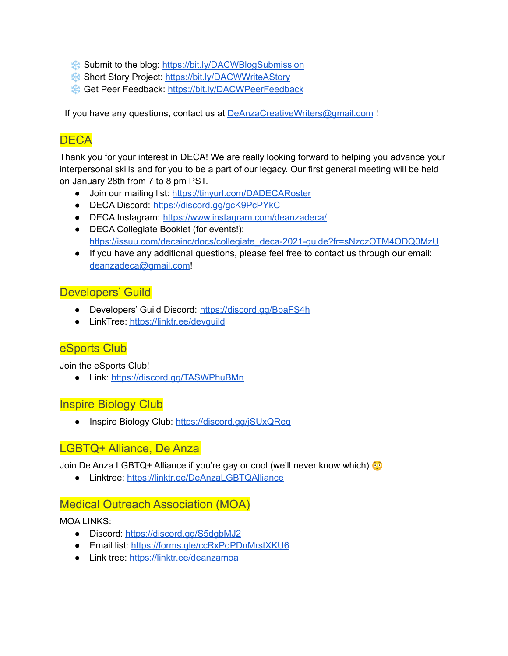- ❄️ Submit to the blog: <https://bit.ly/DACWBlogSubmission>
- ❄️ Short Story Project: <https://bit.ly/DACWWriteAStory>
- ❄️ Get Peer Feedback: <https://bit.ly/DACWPeerFeedback>

If you have any questions, contact us at [DeAnzaCreativeWriters@gmail.com](mailto:DeAnzaCreativeWriters@gmail.com) !

# **DECA**

Thank you for your interest in DECA! We are really looking forward to helping you advance your interpersonal skills and for you to be a part of our legacy. Our first general meeting will be held on January 28th from 7 to 8 pm PST.

- Join our mailing list: <https://tinyurl.com/DADECARoster>
- DECA Discord: <https://discord.gg/gcK9PcPYkC>
- DECA Instagram: <https://www.instagram.com/deanzadeca/>
- DECA Collegiate Booklet (for events!): [https://issuu.com/decainc/docs/collegiate\\_deca-2021-guide?fr=sNzczOTM4ODQ0MzU](https://issuu.com/decainc/docs/collegiate_deca-2021-guide?fr=sNzczOTM4ODQ0MzU)
- If you have any additional questions, please feel free to contact us through our email: [deanzadeca@gmail.com](mailto:deanzadeca@gmail.com)!

#### Developers' Guild

- Developers' Guild Discord: <https://discord.gg/BpaFS4h>
- LinkTree: <https://linktr.ee/devguild>

#### eSports Club

Join the eSports Club!

● Link: <https://discord.gg/TASWPhuBMn>

#### Inspire Biology Club

• Inspire Biology Club: <https://discord.gg/jSUxQReq>

#### LGBTQ+ Alliance, De Anza

Join De Anza LGBTQ+ Alliance if you're gay or cool (we'll never know which)

● Linktree: <https://linktr.ee/DeAnzaLGBTQAlliance>

#### Medical Outreach Association (MOA)

MOA LINKS:

- Discord: <https://discord.gg/S5dgbMJ2>
- Email list: <https://forms.gle/ccRxPoPDnMrstXKU6>
- Link tree: <https://linktr.ee/deanzamoa>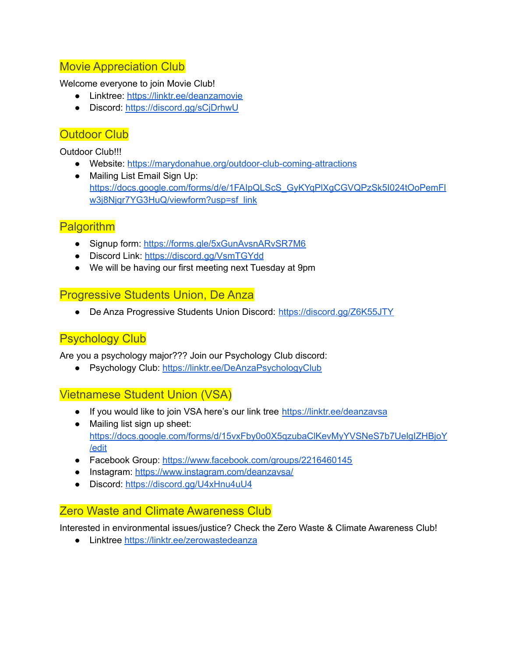#### Movie Appreciation Club

Welcome everyone to join Movie Club!

- Linktree: <https://linktr.ee/deanzamovie>
- Discord: <https://discord.gg/sCjDrhwU>

### Outdoor Club

Outdoor Club!!!

- Website: <https://marydonahue.org/outdoor-club-coming-attractions>
- Mailing List Email Sign Up: [https://docs.google.com/forms/d/e/1FAIpQLScS\\_GyKYqPlXgCGVQPzSk5I024tOoPemFl](https://docs.google.com/forms/d/e/1FAIpQLScS_GyKYqPlXgCGVQPzSk5I024tOoPemFlw3j8Njqr7YG3HuQ/viewform?usp=sf_link) [w3j8Njqr7YG3HuQ/viewform?usp=sf\\_link](https://docs.google.com/forms/d/e/1FAIpQLScS_GyKYqPlXgCGVQPzSk5I024tOoPemFlw3j8Njqr7YG3HuQ/viewform?usp=sf_link)

# **Palgorithm**

- Signup form: <https://forms.gle/5xGunAvsnARvSR7M6>
- Discord Link: <https://discord.gg/VsmTGYdd>
- We will be having our first meeting next Tuesday at 9pm

#### Progressive Students Union, De Anza

● De Anza Progressive Students Union Discord: <https://discord.gg/Z6K55JTY>

# Psychology Club

Are you a psychology major??? Join our Psychology Club discord:

● Psychology Club: <https://linktr.ee/DeAnzaPsychologyClub>

# Vietnamese Student Union (VSA)

- If you would like to join VSA here's our link tree <https://linktr.ee/deanzavsa>
- Mailing list sign up sheet: [https://docs.google.com/forms/d/15vxFby0o0X5qzubaClKevMyYVSNeS7b7UelgIZHBjoY](https://docs.google.com/forms/d/15vxFby0o0X5qzubaClKevMyYVSNeS7b7UelgIZHBjoY/edit) [/edit](https://docs.google.com/forms/d/15vxFby0o0X5qzubaClKevMyYVSNeS7b7UelgIZHBjoY/edit)
- Facebook Group: <https://www.facebook.com/groups/2216460145>
- Instagram: <https://www.instagram.com/deanzavsa/>
- Discord: <https://discord.gg/U4xHnu4uU4>

#### Zero Waste and Climate Awareness Club

Interested in environmental issues/justice? Check the Zero Waste & Climate Awareness Club!

● Linktree <https://linktr.ee/zerowastedeanza>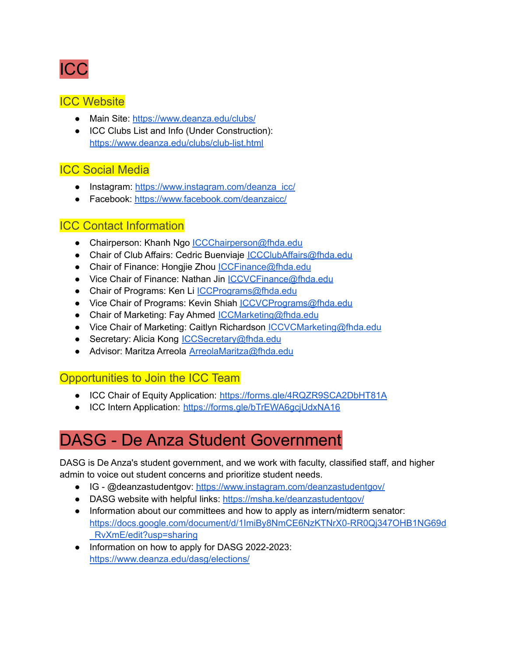

#### **ICC Website**

- Main Site: <https://www.deanza.edu/clubs/>
- ICC Clubs List and Info (Under Construction): <https://www.deanza.edu/clubs/club-list.html>

# ICC Social Media

- Instagram: [https://www.instagram.com/deanza\\_icc/](https://www.instagram.com/deanza_icc/)
- Facebook: <https://www.facebook.com/deanzaicc/>

# ICC Contact Information

- Chairperson: Khanh Ngo [ICCChairperson@fhda.edu](mailto:ICCChairperson@fhda.edu)
- Chair of Club Affairs: Cedric Buenviaje [ICCClubAffairs@fhda.edu](mailto:ICCClubAffairs@fhda.edu)
- Chair of Finance: Hongjie Zhou [ICCFinance@fhda.edu](mailto:ICCFinance@fhda.edu)
- Vice Chair of Finance: Nathan Jin [ICCVCFinance@fhda.edu](mailto:ICCVCFinance@fhda.edu)
- Chair of Programs: Ken Li *[ICCPrograms@fhda.edu](mailto:ICCPrograms@fhda.edu)*
- Vice Chair of Programs: Kevin Shiah *[ICCVCPrograms@fhda.edu](mailto:ICCVCPrograms@fhda.edu)*
- Chair of Marketing: Fay Ahmed [ICCMarketing@fhda.edu](mailto:ICCMarketing@fhda.edu)
- Vice Chair of Marketing: Caitlyn Richardson [ICCVCMarketing@fhda.edu](mailto:ICCVCMarketing@fhda.edu)
- Secretary: Alicia Kong [ICCSecretary@fhda.edu](mailto:ICCSecretary@fhda.edu)
- Advisor: Maritza Arreola **[ArreolaMaritza@fhda.edu](mailto:ArreolaMaritza@fhda.edu)**

#### Opportunities to Join the ICC Team

- ICC Chair of Equity Application: <https://forms.gle/4RQZR9SCA2DbHT81A>
- ICC Intern Application: <https://forms.gle/bTrEWA6gcjUdxNA16>

# DASG - De Anza Student Government

DASG is De Anza's student government, and we work with faculty, classified staff, and higher admin to voice out student concerns and prioritize student needs.

- IG @deanzastudentgov: <https://www.instagram.com/deanzastudentgov/>
- DASG website with helpful links: <https://msha.ke/deanzastudentgov/>
- Information about our committees and how to apply as intern/midterm senator: [https://docs.google.com/document/d/1ImiBy8NmCE6NzKTNrX0-RR0Qj347OHB1NG69d](https://docs.google.com/document/d/1ImiBy8NmCE6NzKTNrX0-RR0Qj347OHB1NG69d_RvXmE/edit?usp=sharing) [\\_RvXmE/edit?usp=sharing](https://docs.google.com/document/d/1ImiBy8NmCE6NzKTNrX0-RR0Qj347OHB1NG69d_RvXmE/edit?usp=sharing)
- Information on how to apply for DASG 2022-2023: <https://www.deanza.edu/dasg/elections/>